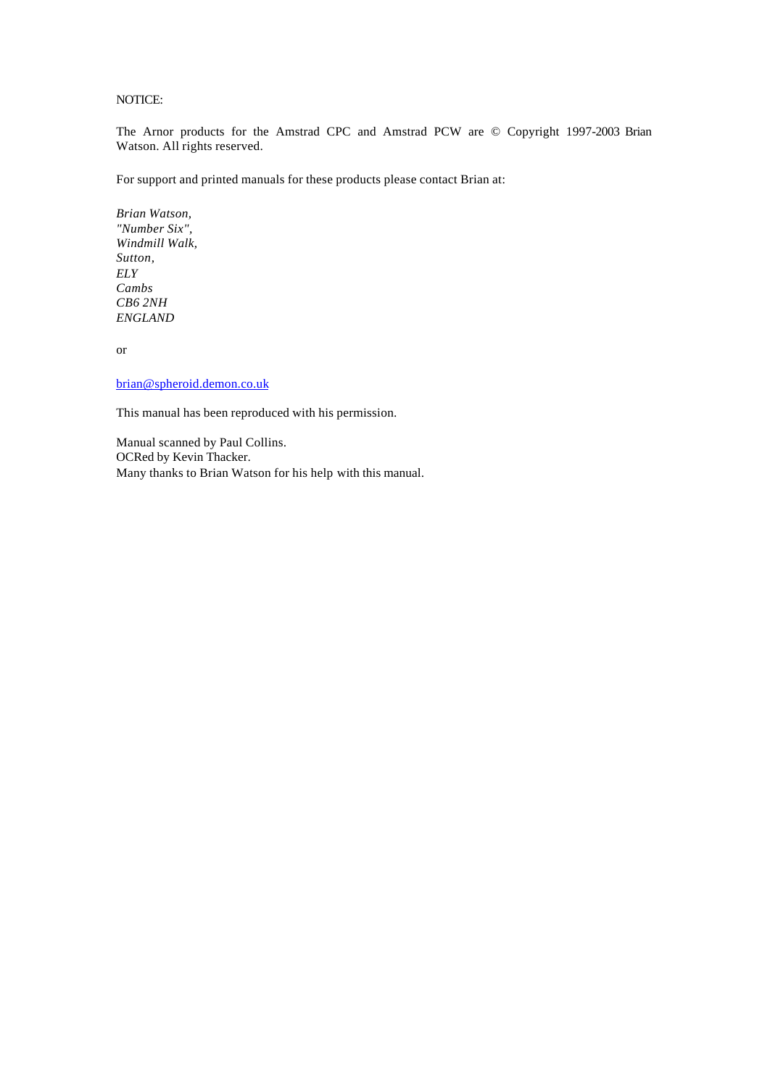# NOTICE:

The Arnor products for the Amstrad CPC and Amstrad PCW are © Copyright 1997-2003 Brian Watson. All rights reserved.

For support and printed manuals for these products please contact Brian at:

*Brian Watson, "Number Six", Windmill Walk, Sutton, ELY Cambs CB6 2NH ENGLAND*

or

brian@spheroid.demon.co.uk

This manual has been reproduced with his permission.

Manual scanned by Paul Collins. OCRed by Kevin Thacker. Many thanks to Brian Watson for his help with this manual.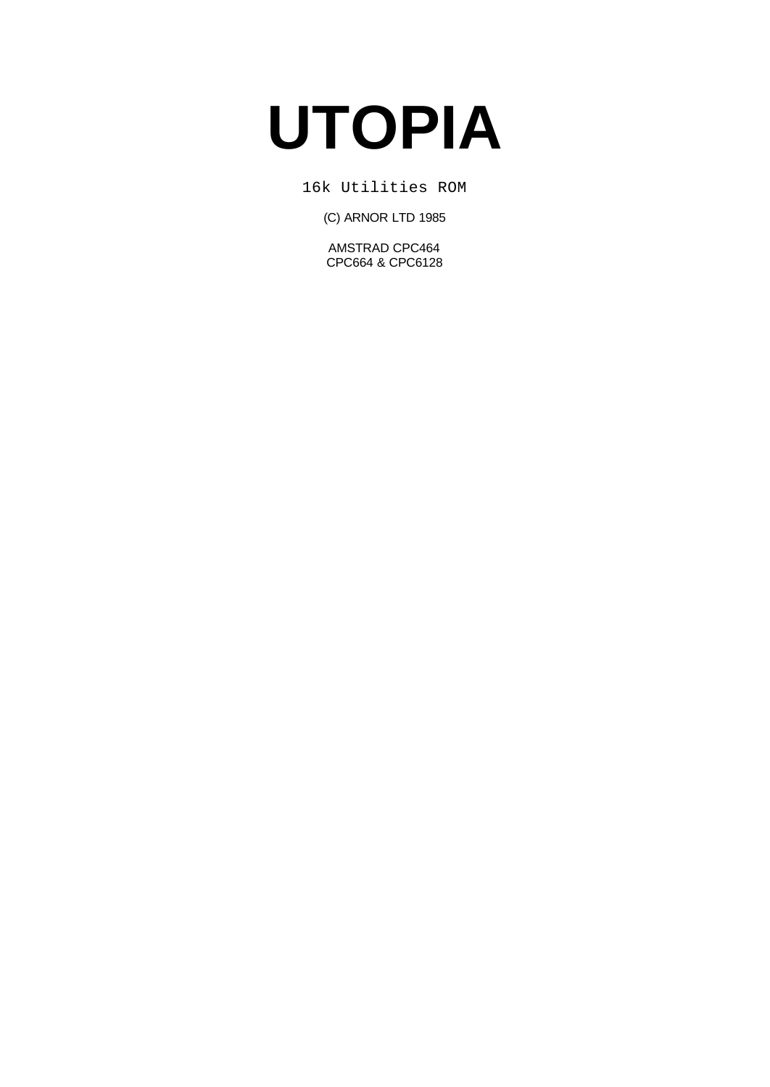# **UTOPIA**

16k Utilities ROM

(C) ARNOR LTD 1985

AMSTRAD CPC464 CPC664 & CPC6128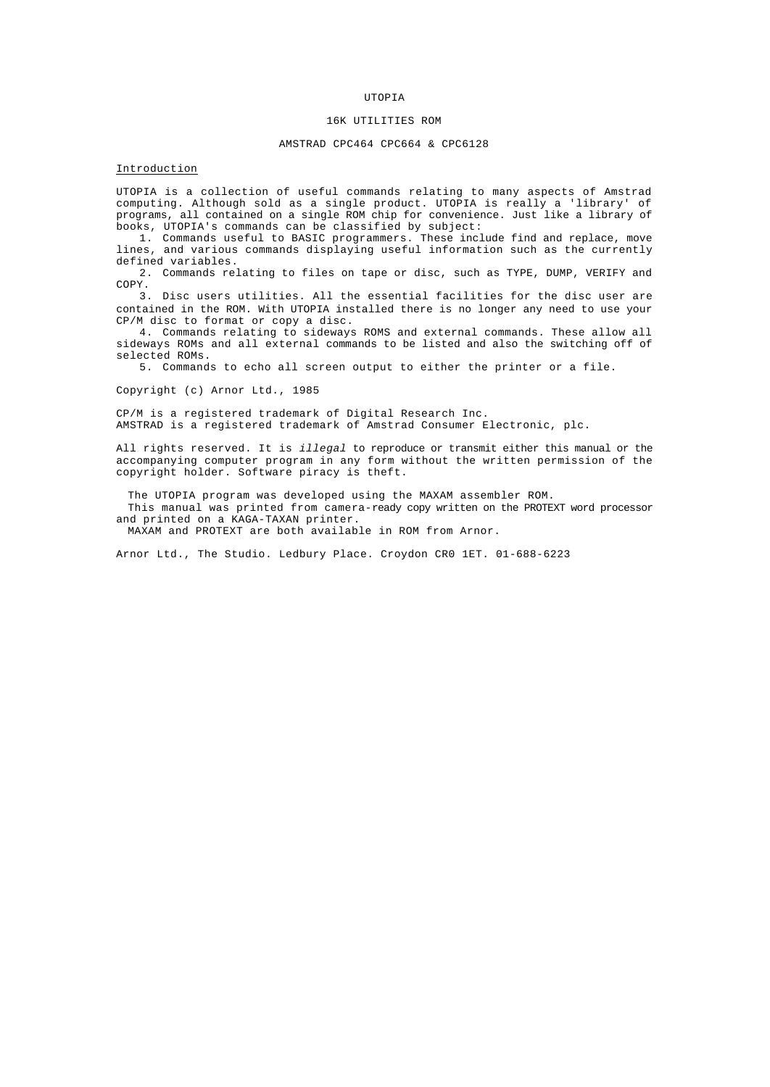## UTOPIA

# 16K UTILITIES ROM

## AMSTRAD CPC464 CPC664 & CPC6128

# Introduction

UTOPIA is a collection of useful commands relating to many aspects of Amstrad computing. Although sold as a single product. UTOPIA is really a 'library' of programs, all contained on a single ROM chip for convenience. Just like a library of books, UTOPIA's commands can be classified by subject:

1. Commands useful to BASIC programmers. These include find and replace, move lines, and various commands displaying useful information such as the currently defined variables.

2. Commands relating to files on tape or disc, such as TYPE, DUMP, VERIFY and COPY.

3. Disc users utilities. All the essential facilities for the disc user are contained in the ROM. With UTOPIA installed there is no longer any need to use your CP/M disc to format or copy a disc.

4. Commands relating to sideways ROMS and external commands. These allow all sideways ROMs and all external commands to be listed and also the switching off of selected ROMs.

5. Commands to echo all screen output to either the printer or a file.

Copyright (c) Arnor Ltd., 1985

CP/M is a registered trademark of Digital Research Inc. AMSTRAD is a registered trademark of Amstrad Consumer Electronic, plc.

All rights reserved. It is *illegal* to reproduce or transmit either this manual or the accompanying computer program in any form without the written permission of the copyright holder. Software piracy is theft.

The UTOPIA program was developed using the MAXAM assembler ROM. This manual was printed from camera-ready copy written on the PROTEXT word processor and printed on a KAGA-TAXAN printer. MAXAM and PROTEXT are both available in ROM from Arnor.

Arnor Ltd., The Studio. Ledbury Place. Croydon CR0 1ET. 01-688-6223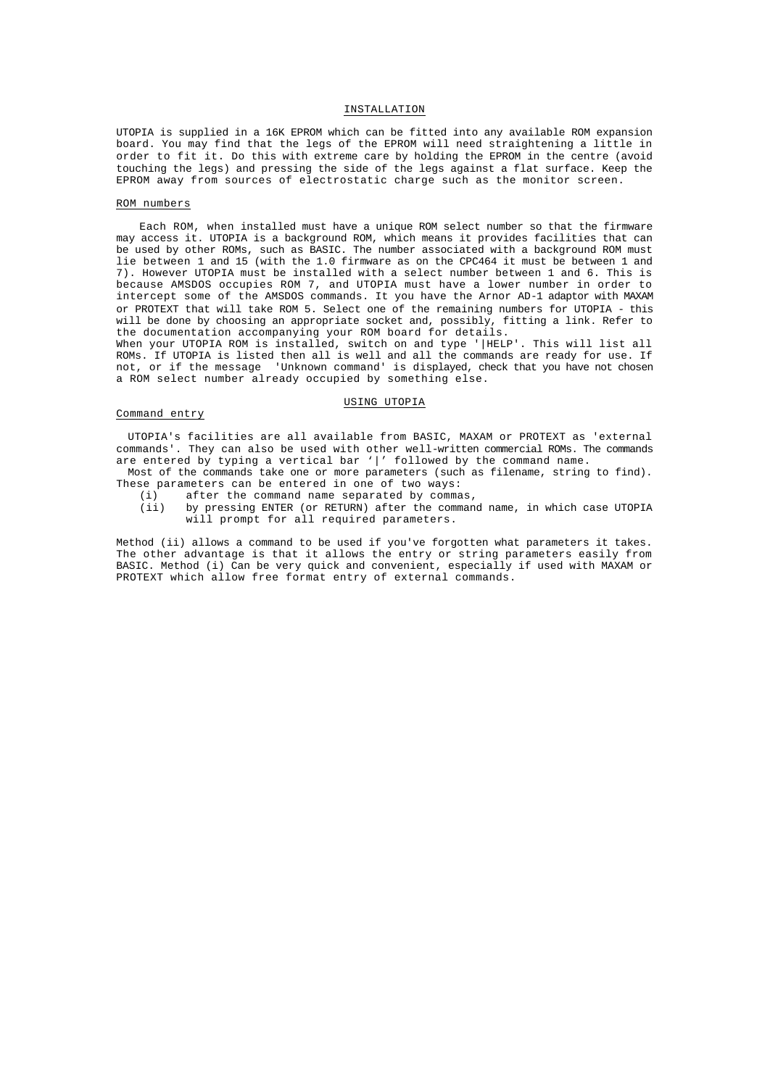# INSTALLATION

UTOPIA is supplied in a 16K EPROM which can be fitted into any available ROM expansion board. You may find that the legs of the EPROM will need straightening a little in order to fit it. Do this with extreme care by holding the EPROM in the centre (avoid touching the legs) and pressing the side of the legs against a flat surface. Keep the EPROM away from sources of electrostatic charge such as the monitor screen.

# ROM numbers

Each ROM, when installed must have a unique ROM select number so that the firmware may access it. UTOPIA is a background ROM, which means it provides facilities that can be used by other ROMs, such as BASIC. The number associated with a background ROM must lie between 1 and 15 (with the 1.0 firmware as on the CPC464 it must be between 1 and 7). However UTOPIA must be installed with a select number between 1 and 6. This is because AMSDOS occupies ROM 7, and UTOPIA must have a lower number in order to intercept some of the AMSDOS commands. It you have the Arnor AD-1 adaptor with MAXAM or PROTEXT that will take ROM 5. Select one of the remaining numbers for UTOPIA - this will be done by choosing an appropriate socket and, possibly, fitting a link. Refer to the documentation accompanying your ROM board for details.

When your UTOPIA ROM is installed, switch on and type '|HELP'. This will list all ROMs. If UTOPIA is listed then all is well and all the commands are ready for use. If not, or if the message 'Unknown command' is displayed, check that you have not chosen a ROM select number already occupied by something else.

# USING UTOPIA

## Command entry

UTOPIA's facilities are all available from BASIC, MAXAM or PROTEXT as 'external commands'. They can also be used with other well-written commercial ROMs. The commands are entered by typing a vertical bar '|' followed by the command name.

Most of the commands take one or more parameters (such as filename, string to find). These parameters can be entered in one of two ways:

- (i) after the command name separated by commas,<br>(ii) by pressing ENTER (or RETURN) after the comman
- by pressing ENTER (or RETURN) after the command name, in which case UTOPIA will prompt for all required parameters.

Method (ii) allows a command to be used if you've forgotten what parameters it takes. The other advantage is that it allows the entry or string parameters easily from BASIC. Method (i) Can be very quick and convenient, especially if used with MAXAM or PROTEXT which allow free format entry of external commands.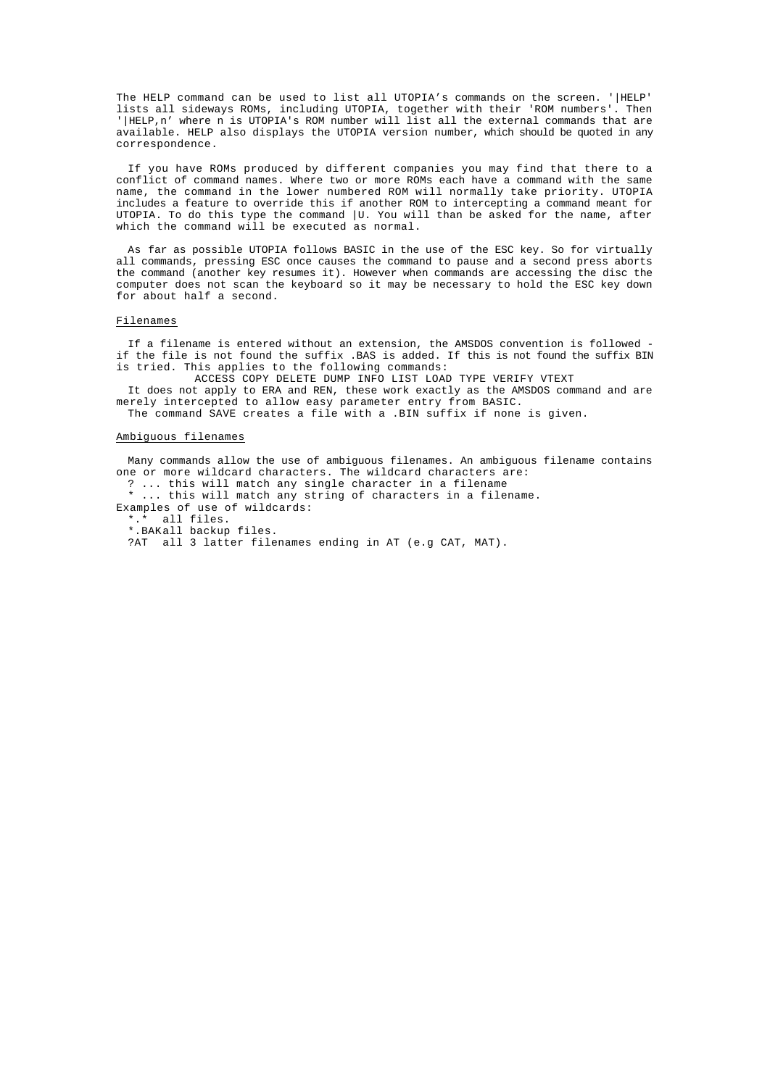The HELP command can be used to list all UTOPIA's commands on the screen. '|HELP' lists all sideways ROMs, including UTOPIA, together with their 'ROM numbers'. Then '|HELP,n' where n is UTOPIA's ROM number will list all the external commands that are available. HELP also displays the UTOPIA version number, which should be quoted in any correspondence.

If you have ROMs produced by different companies you may find that there to a conflict of command names. Where two or more ROMs each have a command with the same name, the command in the lower numbered ROM will normally take priority. UTOPIA includes a feature to override this if another ROM to intercepting a command meant for UTOPIA. To do this type the command  $|U$ . You will than be asked for the name, after which the command will be executed as normal.

As far as possible UTOPIA follows BASIC in the use of the ESC key. So for virtually all commands, pressing ESC once causes the command to pause and a second press aborts the command (another key resumes it). However when commands are accessing the disc the computer does not scan the keyboard so it may be necessary to hold the ESC key down for about half a second.

## Filenames

If a filename is entered without an extension, the AMSDOS convention is followed if the file is not found the suffix .BAS is added. If this is not found the suffix BIN is tried. This applies to the following commands:

ACCESS COPY DELETE DUMP INFO LIST LOAD TYPE VERIFY VTEXT

It does not apply to ERA and REN, these work exactly as the AMSDOS command and are merely intercepted to allow easy parameter entry from BASIC.

The command SAVE creates a file with a .BIN suffix if none is given.

## Ambiguous filenames

Many commands allow the use of ambiguous filenames. An ambiguous filename contains one or more wildcard characters. The wildcard characters are: ? ... this will match any single character in a filename \* ... this will match any string of characters in a filename. Examples of use of wildcards: \*.\* all files. \*.BAKall backup files. ?AT all 3 latter filenames ending in AT (e.g CAT, MAT).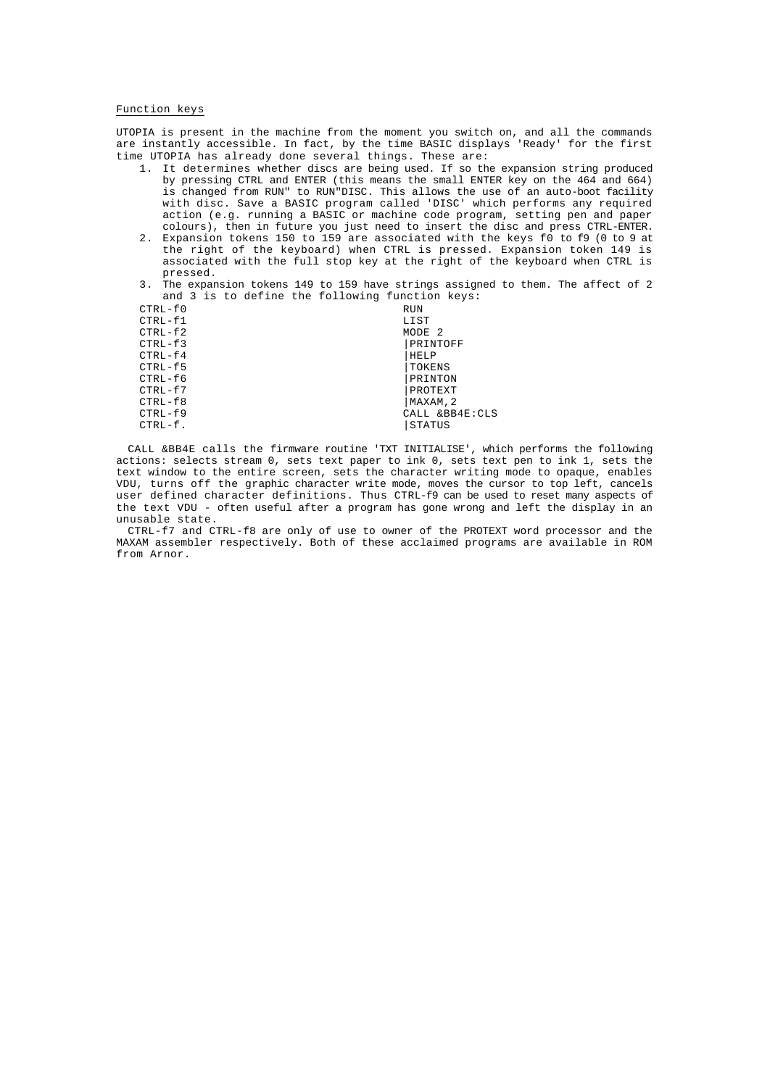# Function keys

UTOPIA is present in the machine from the moment you switch on, and all the commands are instantly accessible. In fact, by the time BASIC displays 'Ready' for the first time UTOPIA has already done several things. These are:

- 1. It determines whether discs are being used. If so the expansion string produced by pressing CTRL and ENTER (this means the small ENTER key on the 464 and 664) is changed from RUN" to RUN"DISC. This allows the use of an auto-boot facility with disc. Save a BASIC program called 'DISC' which performs any required action (e.g. running a BASIC or machine code program, setting pen and paper colours), then in future you just need to insert the disc and press CTRL-ENTER.
- 2. Expansion tokens 150 to 159 are associated with the keys f0 to f9 (0 to 9 at the right of the keyboard) when CTRL is pressed. Expansion token 149 is associated with the full stop key at the right of the keyboard when CTRL is pressed.
- 3. The expansion tokens 149 to 159 have strings assigned to them. The affect of 2 and 3 is to define the following function keys:

| <b>RUN</b>        |
|-------------------|
| LIST              |
| MODE <sub>2</sub> |
| PRINTOFF          |
| HELP              |
| TOKENS            |
| PRINTON           |
| PROTEXT           |
| MAXAM, 2          |
| CALL &BB4E:CLS    |
| <b>STATUS</b>     |
|                   |

CALL &BB4E calls the firmware routine 'TXT INITIALISE', which performs the following actions: selects stream 0, sets text paper to ink 0, sets text pen to ink 1, sets the text window to the entire screen, sets the character writing mode to opaque, enables VDU, turns off the graphic character write mode, moves the cursor to top left, cancels user defined character definitions. Thus CTRL-f9 can be used to reset many aspects of the text VDU - often useful after a program has gone wrong and left the display in an unusable state.

CTRL-f7 and CTRL-f8 are only of use to owner of the PROTEXT word processor and the MAXAM assembler respectively. Both of these acclaimed programs are available in ROM from Arnor.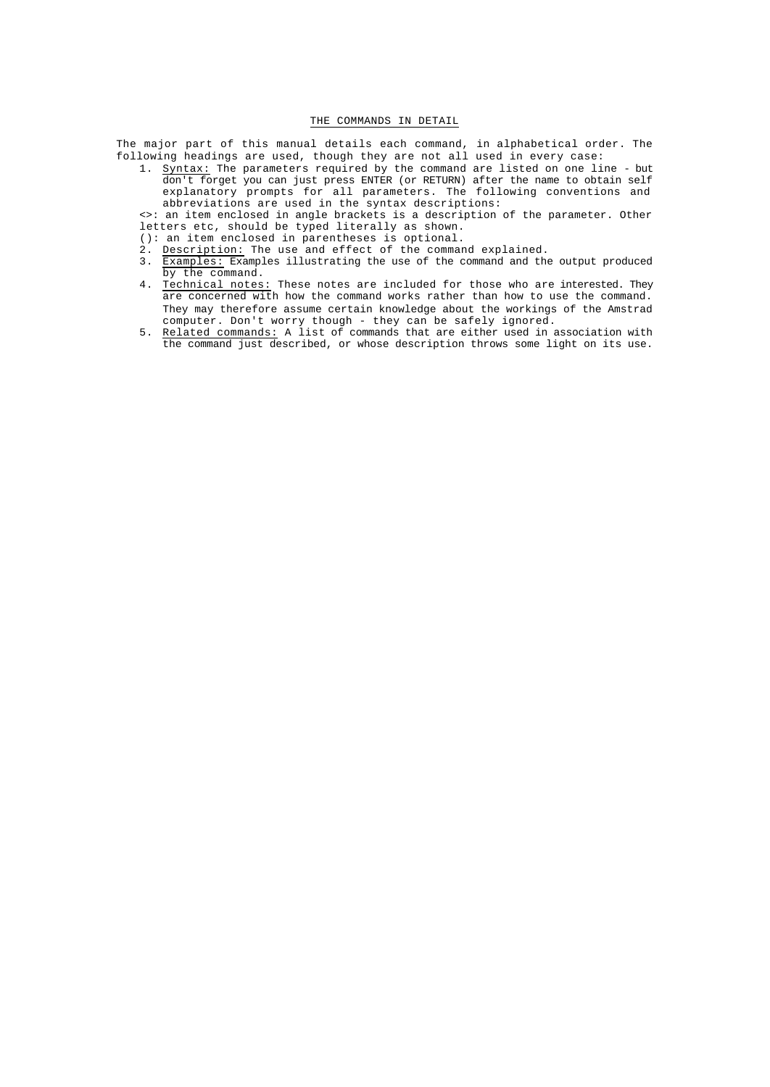# THE COMMANDS IN DETAIL

The major part of this manual details each command, in alphabetical order. The following headings are used, though they are not all used in every case:

1. Syntax: The parameters required by the command are listed on one line - but don't forget you can just press ENTER (or RETURN) after the name to obtain self explanatory prompts for all parameters. The following conventions and abbreviations are used in the syntax descriptions:

<>: an item enclosed in angle brackets is a description of the parameter. Other letters etc, should be typed literally as shown.

- (): an item enclosed in parentheses is optional.
- 2. Description: The use and effect of the command explained.
- 3. Examples: Examples illustrating the use of the command and the output produced by the command.
- 4. Technical notes: These notes are included for those who are interested. They are concerned with how the command works rather than how to use the command. They may therefore assume certain knowledge about the workings of the Amstrad computer. Don't worry though - they can be safely ignored.
- 5. Related commands: A list of commands that are either used in association with the command just described, or whose description throws some light on its use.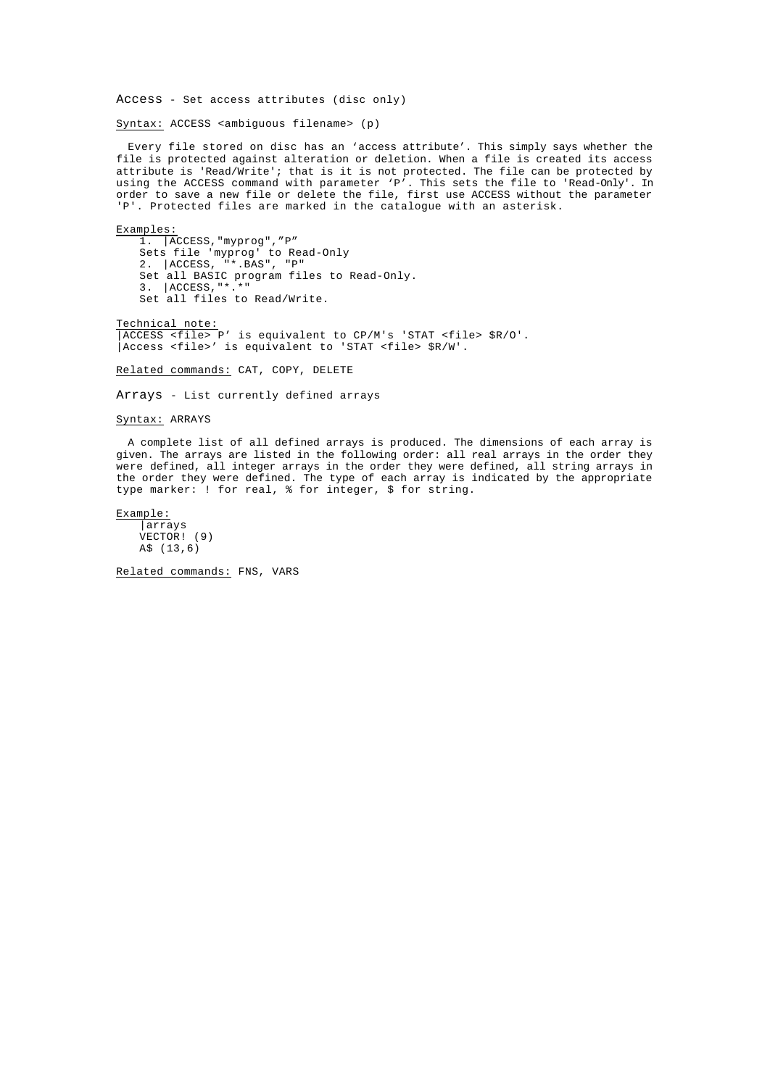Access - Set access attributes (disc only)

Syntax: ACCESS <ambiguous filename> (p)

Every file stored on disc has an 'access attribute'. This simply says whether the file is protected against alteration or deletion. When a file is created its access attribute is 'Read/Write'; that is it is not protected. The file can be protected by using the ACCESS command with parameter 'P'. This sets the file to 'Read-Only'. In order to save a new file or delete the file, first use ACCESS without the parameter 'P'. Protected files are marked in the catalogue with an asterisk.

# Examples:

1. |ACCESS,"myprog","P" Sets file 'myprog' to Read-Only 2. |ACCESS, "\*.BAS", "P" Set all BASIC program files to Read-Only. 3. |ACCESS,"\*.\*" Set all files to Read/Write.

Technical note: |ACCESS <file> P' is equivalent to CP/M's 'STAT <file> \$R/O'. |Access <file>' is equivalent to 'STAT <file> \$R/W'.

Related commands: CAT, COPY, DELETE

Arrays - List currently defined arrays

# Syntax: ARRAYS

A complete list of all defined arrays is produced. The dimensions of each array is given. The arrays are listed in the following order: all real arrays in the order they were defined, all integer arrays in the order they were defined, all string arrays in the order they were defined. The type of each array is indicated by the appropriate type marker: ! for real, % for integer, \$ for string.

Example: |arrays VECTOR! (9) A\$ (13,6)

Related commands: FNS, VARS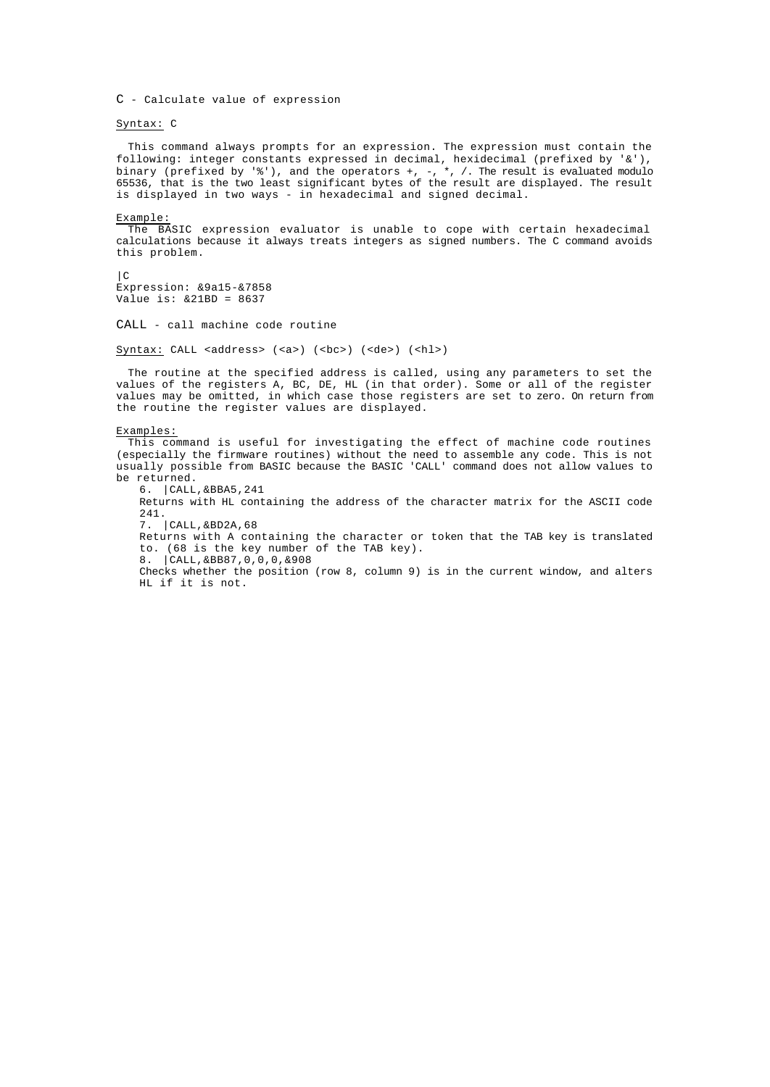C - Calculate value of expression

Syntax: C

This command always prompts for an expression. The expression must contain the following: integer constants expressed in decimal, hexidecimal (prefixed by '&'), binary (prefixed by '%'), and the operators +, -, \*, /. The result is evaluated modulo 65536, that is the two least significant bytes of the result are displayed. The result is displayed in two ways - in hexadecimal and signed decimal.

Example:

The BASIC expression evaluator is unable to cope with certain hexadecimal calculations because it always treats integers as signed numbers. The C command avoids this problem.

 $|C|$ Expression: &9a15-&7858 Value is: &21BD = 8637

CALL - call machine code routine

Syntax: CALL <address> (<a>) (<br/>  $(bc>)$  (<de>) (<hl>)

The routine at the specified address is called, using any parameters to set the values of the registers A, BC, DE, HL (in that order). Some or all of the register values may be omitted, in which case those registers are set to zero. On return from the routine the register values are displayed.

Examples:

This command is useful for investigating the effect of machine code routines (especially the firmware routines) without the need to assemble any code. This is not usually possible from BASIC because the BASIC 'CALL' command does not allow values to be returned.

6. |CALL,&BBA5,241

Returns with HL containing the address of the character matrix for the ASCII code 241.

7. |CALL,&BD2A,68

Returns with A containing the character or token that the TAB key is translated to. (68 is the key number of the TAB key).

8. |CALL,&BB87,0,0,0,&908

Checks whether the position (row 8, column 9) is in the current window, and alters HL if it is not.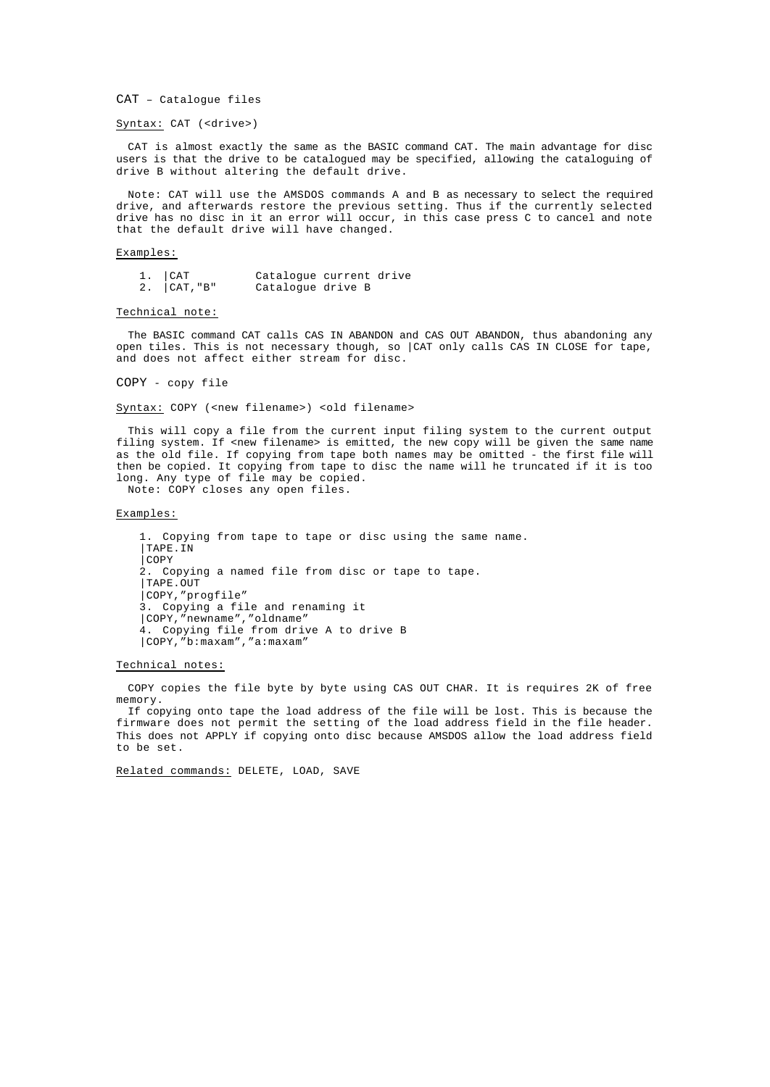CAT – Catalogue files

# Syntax: CAT (<drive>)

CAT is almost exactly the same as the BASIC command CAT. The main advantage for disc users is that the drive to be catalogued may be specified, allowing the cataloguing of drive B without altering the default drive.

Note: CAT will use the AMSDOS commands A and B as necessary to select the required drive, and afterwards restore the previous setting. Thus if the currently selected drive has no disc in it an error will occur, in this case press C to cancel and note that the default drive will have changed.

## Examples:

1. |CAT Catalogue current drive Catalogue drive B

# Technical note:

The BASIC command CAT calls CAS IN ABANDON and CAS OUT ABANDON, thus abandoning any open tiles. This is not necessary though, so |CAT only calls CAS IN CLOSE for tape, and does not affect either stream for disc.

COPY - copy file

## Syntax: COPY (<new filename>) <old filename>

This will copy a file from the current input filing system to the current output filing system. If <new filename> is emitted, the new copy will be given the same name as the old file. If copying from tape both names may be omitted - the first file will then be copied. It copying from tape to disc the name will he truncated if it is too long. Any type of file may be copied.

Note: COPY closes any open files.

# Examples:

1. Copying from tape to tape or disc using the same name. |TAPE.IN |COPY 2. Copying a named file from disc or tape to tape. |TAPE.OUT |COPY,"progfile" 3. Copying a file and renaming it |COPY,"newname","oldname" 4. Copying file from drive A to drive B |COPY,"b:maxam","a:maxam"

## Technical notes:

COPY copies the file byte by byte using CAS OUT CHAR. It is requires 2K of free memory.

If copying onto tape the load address of the file will be lost. This is because the firmware does not permit the setting of the load address field in the file header. This does not APPLY if copying onto disc because AMSDOS allow the load address field to be set.

Related commands: DELETE, LOAD, SAVE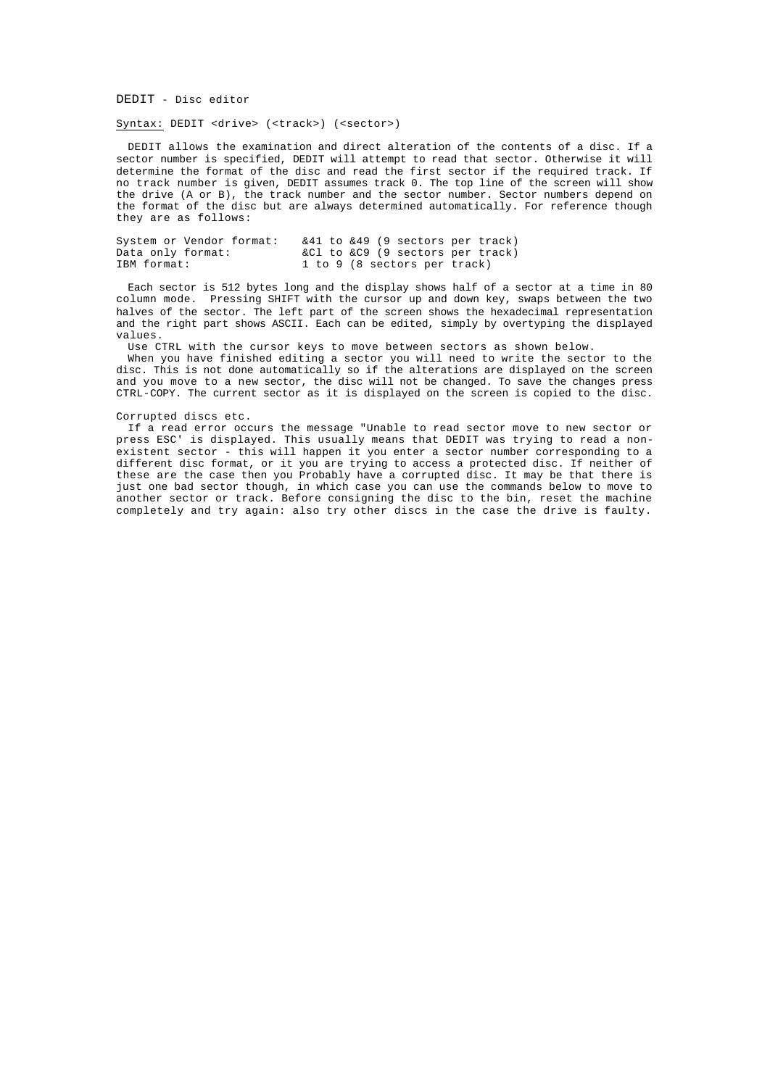DEDIT - Disc editor

Syntax: DEDIT <drive> (<track>) (<sector>)

DEDIT allows the examination and direct alteration of the contents of a disc. If a sector number is specified, DEDIT will attempt to read that sector. Otherwise it will determine the format of the disc and read the first sector if the required track. If no track number is given, DEDIT assumes track 0. The top line of the screen will show the drive (A or B), the track number and the sector number. Sector numbers depend on the format of the disc but are always determined automatically. For reference though they are as follows:

| System or Vendor format: |  |  | $&41$ to $&49$ (9 sectors per track) |  |
|--------------------------|--|--|--------------------------------------|--|
| Data only format:        |  |  | &Cl to &C9 (9 sectors per track)     |  |
| IBM format:              |  |  | 1 to 9 (8 sectors per track)         |  |

Each sector is 512 bytes long and the display shows half of a sector at a time in 80 column mode. Pressing SHIFT with the cursor up and down key, swaps between the two halves of the sector. The left part of the screen shows the hexadecimal representation and the right part shows ASCII. Each can be edited, simply by overtyping the displayed values.

Use CTRL with the cursor keys to move between sectors as shown below.

When you have finished editing a sector you will need to write the sector to the disc. This is not done automatically so if the alterations are displayed on the screen and you move to a new sector, the disc will not be changed. To save the changes press CTRL-COPY. The current sector as it is displayed on the screen is copied to the disc.

# Corrupted discs etc.

If a read error occurs the message "Unable to read sector move to new sector or press ESC' is displayed. This usually means that DEDIT was trying to read a nonexistent sector - this will happen it you enter a sector number corresponding to a different disc format, or it you are trying to access a protected disc. If neither of these are the case then you Probably have a corrupted disc. It may be that there is just one bad sector though, in which case you can use the commands below to move to another sector or track. Before consigning the disc to the bin, reset the machine completely and try again: also try other discs in the case the drive is faulty.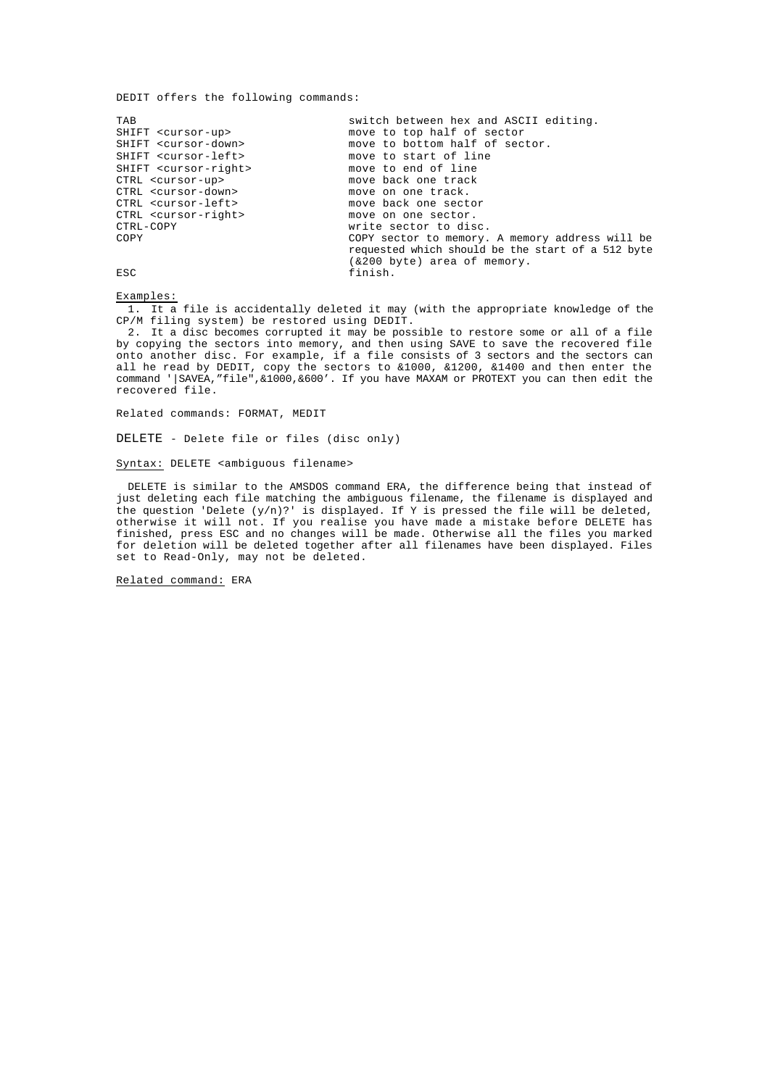DEDIT offers the following commands:

TAB switch between hex and ASCII editing.<br>SHIFT <cursor-up> move to top half of sector SHIFT <cursor-up> move to top half of sector<br>SHIFT <cursor-down> move to bottom half of sec SHIFT <cursor-down> move to bottom half of sector.<br>SHIFT <cursor-left> move to start of line move to start of line SHIFT <cursor-right> move to end of line<br>CTRL <cursor-up> move back one track CTRL <cursor-up> move back one track<br>CTRL <cursor-down> move on one track. CTRL <cursor-down> move on one track.<br>CTRL <cursor-left> move back one sect move back one sector CTRL <cursor-right> move on one sector. CTRL-COPY write sector to disc.<br>
COPY COPY Sector to memory. COPY sector to memory. A memory address will be requested which should be the start of a 512 byte (&200 byte) area of memory. ESC finish.

Examples:

1. It a file is accidentally deleted it may (with the appropriate knowledge of the CP/M filing system) be restored using DEDIT.

2. It a disc becomes corrupted it may be possible to restore some or all of a file by copying the sectors into memory, and then using SAVE to save the recovered file onto another disc. For example, if a file consists of 3 sectors and the sectors can all he read by DEDIT, copy the sectors to &1000, &1200, &1400 and then enter the command '|SAVEA,"file",&1000,&600'. If you have MAXAM or PROTEXT you can then edit the recovered file.

Related commands: FORMAT, MEDIT

DELETE - Delete file or files (disc only)

Syntax: DELETE <ambiguous filename>

DELETE is similar to the AMSDOS command ERA, the difference being that instead of just deleting each file matching the ambiguous filename, the filename is displayed and the question 'Delete  $(y/n)$ ?' is displayed. If Y is pressed the file will be deleted, otherwise it will not. If you realise you have made a mistake before DELETE has finished, press ESC and no changes will be made. Otherwise all the files you marked for deletion will be deleted together after all filenames have been displayed. Files set to Read-Only, may not be deleted.

Related command: ERA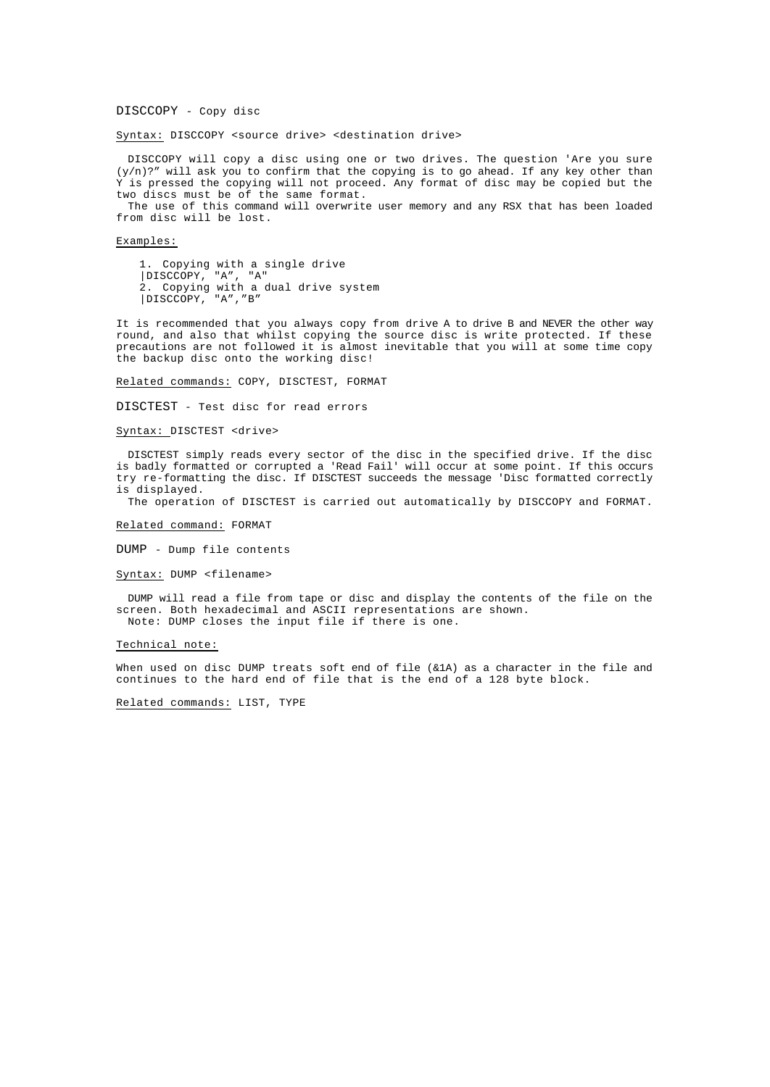DISCCOPY - Copy disc

Syntax: DISCCOPY <source drive> <destination drive>

DISCCOPY will copy a disc using one or two drives. The question 'Are you sure  $(y/n)$ ?" will ask you to confirm that the copying is to go ahead. If any key other than Y is pressed the copying will not proceed. Any format of disc may be copied but the two discs must be of the same format.

The use of this command will overwrite user memory and any RSX that has been loaded from disc will be lost.

Examples:

1. Copying with a single drive |DISCCOPY, "A", "A" 2. Copying with a dual drive system |DISCCOPY, "A","B"

It is recommended that you always copy from drive A to drive B and NEVER the other way round, and also that whilst copying the source disc is write protected. If these precautions are not followed it is almost inevitable that you will at some time copy the backup disc onto the working disc!

Related commands: COPY, DISCTEST, FORMAT

DISCTEST - Test disc for read errors

Syntax: DISCTEST <drive>

DISCTEST simply reads every sector of the disc in the specified drive. If the disc is badly formatted or corrupted a 'Read Fail' will occur at some point. If this occurs try re-formatting the disc. If DISCTEST succeeds the message 'Disc formatted correctly is displayed.

The operation of DISCTEST is carried out automatically by DISCCOPY and FORMAT.

Related command: FORMAT

DUMP - Dump file contents

Syntax: DUMP <filename>

DUMP will read a file from tape or disc and display the contents of the file on the screen. Both hexadecimal and ASCII representations are shown. Note: DUMP closes the input file if there is one.

## Technical note:

When used on disc DUMP treats soft end of file (&1A) as a character in the file and continues to the hard end of file that is the end of a 128 byte block.

Related commands: LIST, TYPE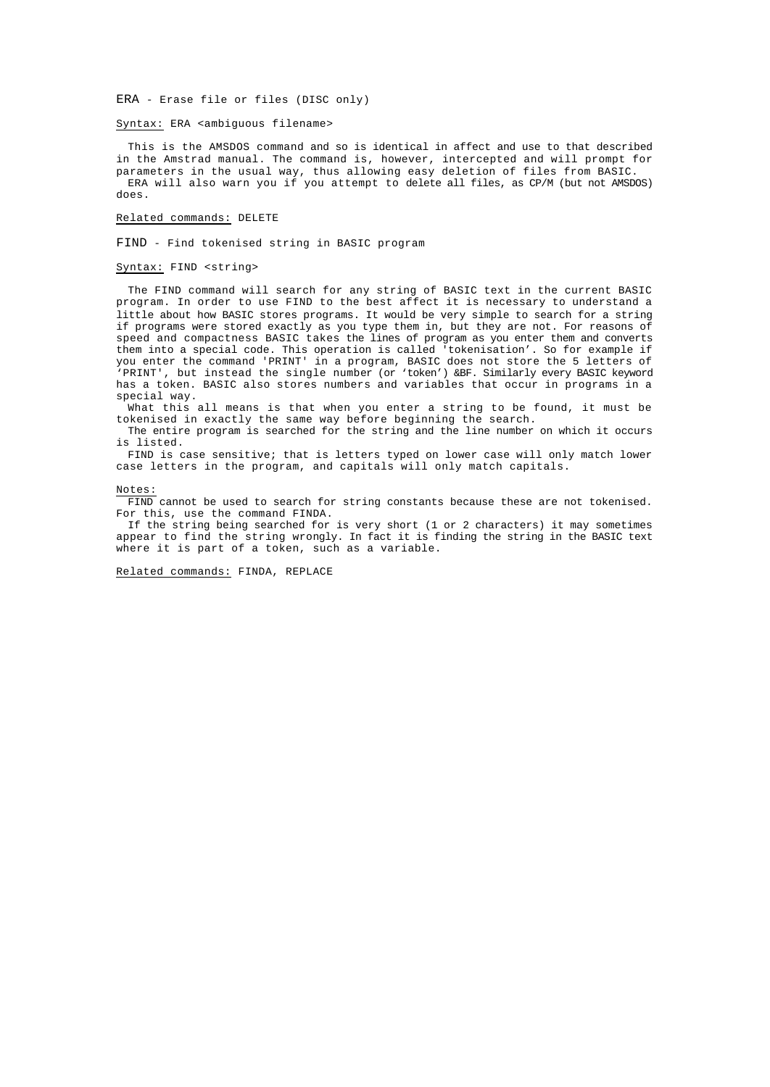ERA - Erase file or files (DISC only)

Syntax: ERA <ambiguous filename>

This is the AMSDOS command and so is identical in affect and use to that described in the Amstrad manual. The command is, however, intercepted and will prompt for parameters in the usual way, thus allowing easy deletion of files from BASIC. ERA will also warn you if you attempt to delete all files, as CP/M (but not AMSDOS) does.

# Related commands: DELETE

FIND - Find tokenised string in BASIC program

# Syntax: FIND <string>

The FIND command will search for any string of BASIC text in the current BASIC program. In order to use FIND to the best affect it is necessary to understand a little about how BASIC stores programs. It would be very simple to search for a string if programs were stored exactly as you type them in, but they are not. For reasons of speed and compactness BASIC takes the lines of program as you enter them and converts them into a special code. This operation is called 'tokenisation'. So for example if you enter the command 'PRINT' in a program, BASIC does not store the 5 letters of 'PRINT', but instead the single number (or 'token') &BF. Similarly every BASIC keyword has a token. BASIC also stores numbers and variables that occur in programs in a special way.

What this all means is that when you enter a string to be found, it must be tokenised in exactly the same way before beginning the search.

The entire program is searched for the string and the line number on which it occurs is listed.

FIND is case sensitive; that is letters typed on lower case will only match lower case letters in the program, and capitals will only match capitals.

#### Notes:

FIND cannot be used to search for string constants because these are not tokenised. For this, use the command FINDA.

If the string being searched for is very short (1 or 2 characters) it may sometimes appear to find the string wrongly. In fact it is finding the string in the BASIC text where it is part of a token, such as a variable.

Related commands: FINDA, REPLACE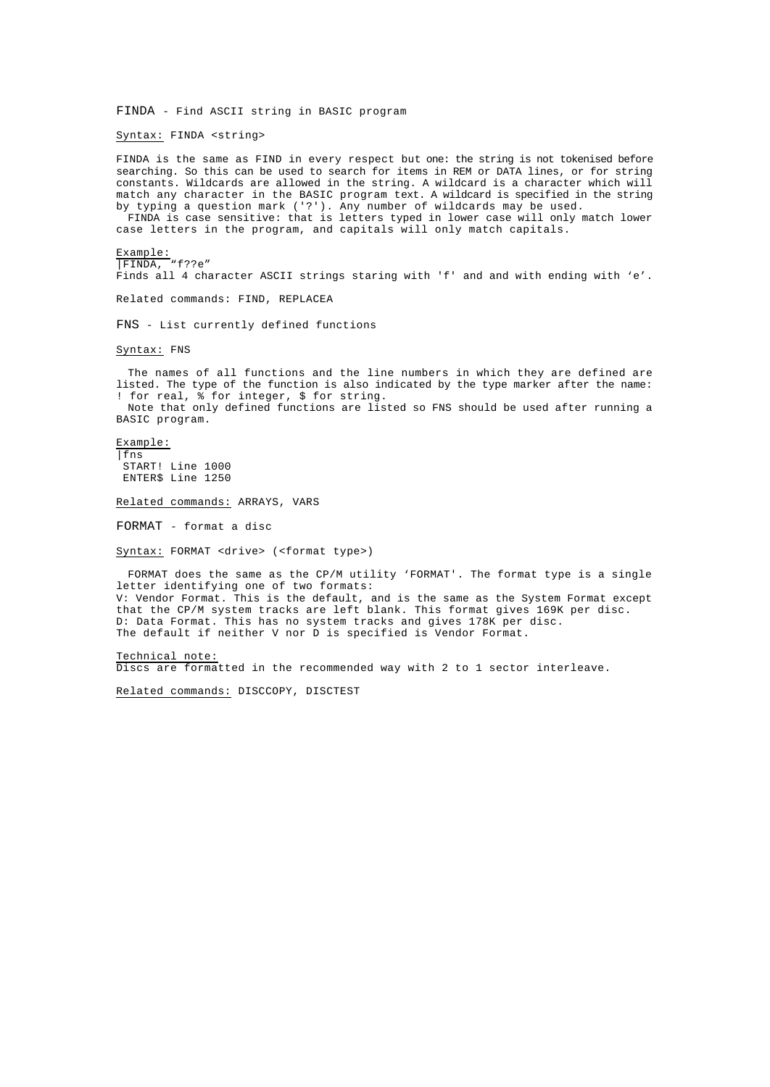FINDA - Find ASCII string in BASIC program

Syntax: FINDA <string>

FINDA is the same as FIND in every respect but one: the string is not tokenised before searching. So this can be used to search for items in REM or DATA lines, or for string constants. Wildcards are allowed in the string. A wildcard is a character which will match any character in the BASIC program text. A wildcard is specified in the string by typing a question mark ('?'). Any number of wildcards may be used.

FINDA is case sensitive: that is letters typed in lower case will only match lower case letters in the program, and capitals will only match capitals.

Example:

|FINDA, "f??e" Finds all 4 character ASCII strings staring with 'f' and and with ending with 'e'.

Related commands: FIND, REPLACEA

FNS - List currently defined functions

Syntax: FNS

The names of all functions and the line numbers in which they are defined are listed. The type of the function is also indicated by the type marker after the name: ! for real,  $\frac{2}{3}$  for integer,  $\frac{2}{3}$  for string. Note that only defined functions are listed so FNS should be used after running a

BASIC program.

Example:

|fns START! Line 1000 ENTER\$ Line 1250

Related commands: ARRAYS, VARS

FORMAT - format a disc

Syntax: FORMAT <drive> (<format type>)

FORMAT does the same as the CP/M utility 'FORMAT'. The format type is a single letter identifying one of two formats: V: Vendor Format. This is the default, and is the same as the System Format except

that the CP/M system tracks are left blank. This format gives 169K per disc. D: Data Format. This has no system tracks and gives 178K per disc. The default if neither V nor D is specified is Vendor Format.

Technical note:

Discs are formatted in the recommended way with 2 to 1 sector interleave.

Related commands: DISCCOPY, DISCTEST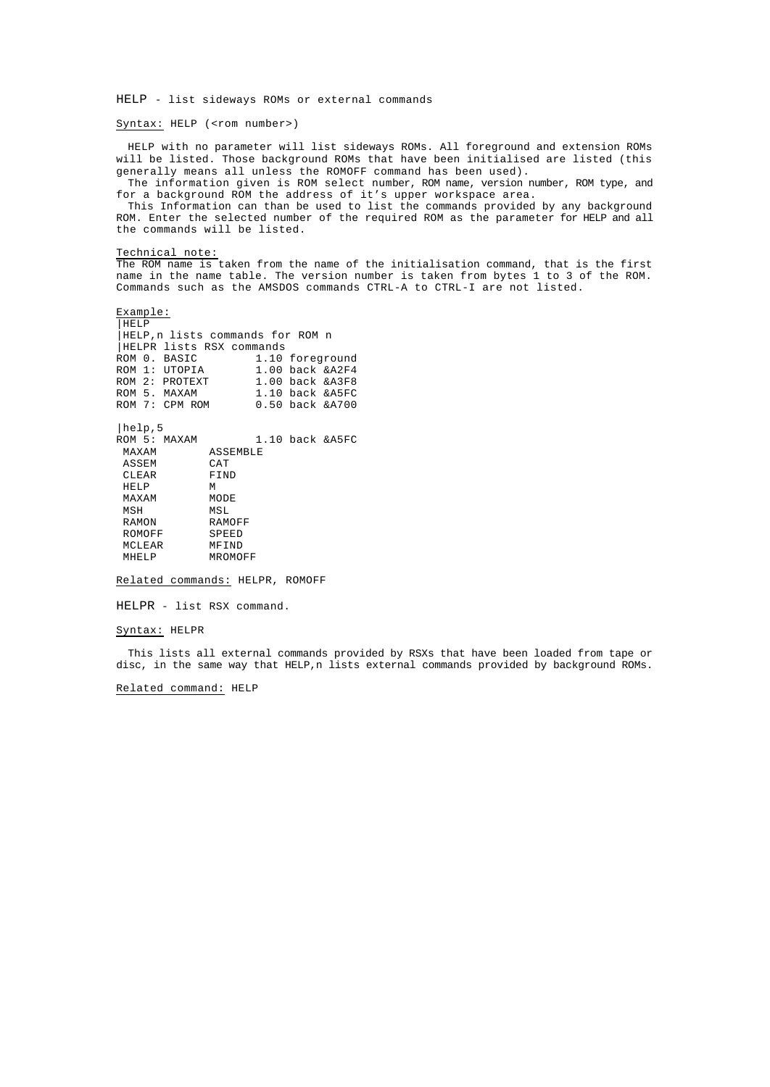HELP - list sideways ROMs or external commands

Syntax: HELP (<rom number>)

HELP with no parameter will list sideways ROMs. All foreground and extension ROMs will be listed. Those background ROMs that have been initialised are listed (this generally means all unless the ROMOFF command has been used).

The information given is ROM select number, ROM name, version number, ROM type, and for a background ROM the address of it's upper workspace area.

This Information can than be used to list the commands provided by any background ROM. Enter the selected number of the required ROM as the parameter for HELP and all the commands will be listed.

## Technical note:

The ROM name is taken from the name of the initialisation command, that is the first name in the name table. The version number is taken from bytes 1 to 3 of the ROM. Commands such as the AMSDOS commands CTRL-A to CTRL-I are not listed.

Example: |HELP |HELP,n lists commands for ROM n |HELPR lists RSX commands ROM 0. BASIC 1.10 foreground<br>ROM 1: UTOPIA 1.00 back & A2F4 ROM 1: UTOPIA 1.00 back &A2F4 ROM 2: PROTEXT 1.00 back & A3F8 ROM 5. MAXAM 1.10 back & A5FC ROM 7: CPM ROM 0.50 back &A700 |help,5 ROM 5: MAXAM 1.10 back &A5FC MAXAM ASSEMBLE<br>ASSEM CAT ASSEM CAT<br>CLEAR FIND CLEAR HELP M<br>MAXAM MODE MAXAM MODI<br>MSH MSL MSH<br>RAMON RAMOFF<br>SPEED ROMOFF SPEED<br>MCLEAR MFIND MCLEAR<br>MHELP MROMOFF

Related commands: HELPR, ROMOFF

HELPR - list RSX command.

## Syntax: HELPR

This lists all external commands provided by RSXs that have been loaded from tape or disc, in the same way that HELP,n lists external commands provided by background ROMs.

Related command: HELP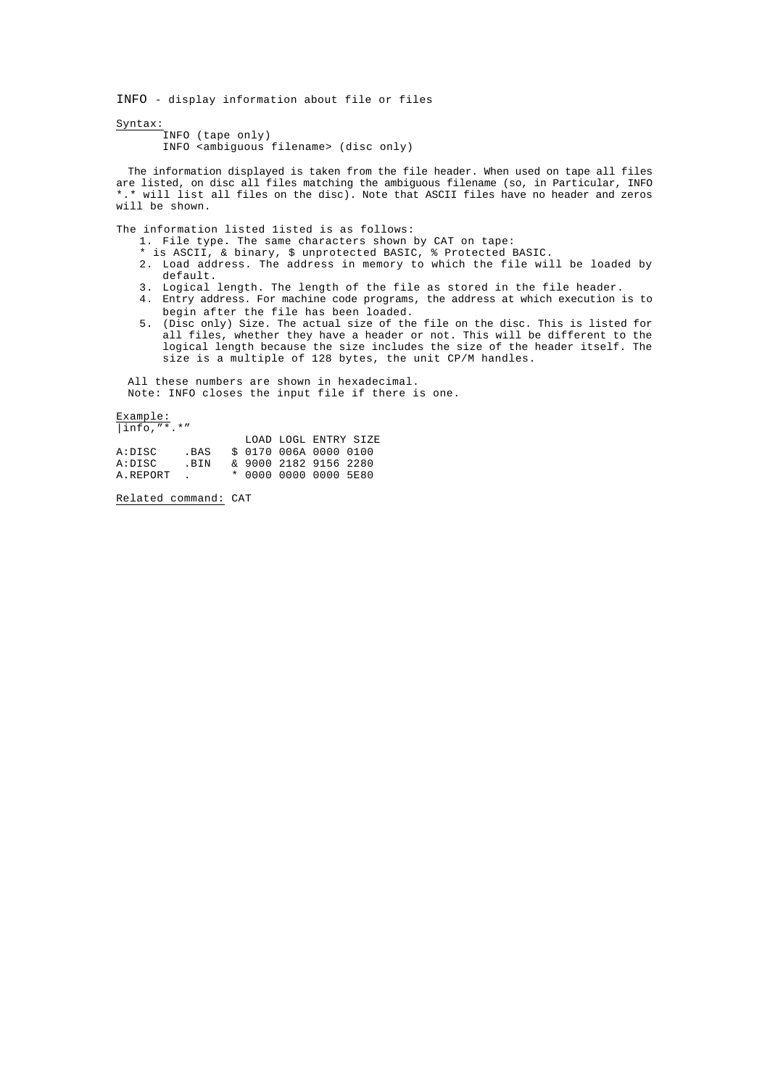INFO - display information about file or files

Syntax:

INFO (tape only) INFO <ambiguous filename> (disc only)

The information displayed is taken from the file header. When used on tape all files are listed, on disc all files matching the ambiguous filename (so, in Particular, INFO \*.\* will list all files on the disc). Note that ASCII files have no header and zeros will be shown.

The information listed listed is as follows:

- 1. File type. The same characters shown by CAT on tape:
- \* is ASCII, & binary, \$ unprotected BASIC, % Protected BASIC.
- 2. Load address. The address in memory to which the file will be loaded by default.
- 3. Logical length. The length of the file as stored in the file header.
- 4. Entry address. For machine code programs, the address at which execution is to begin after the file has been loaded.
- 5. (Disc only) Size. The actual size of the file on the disc. This is listed for all files, whether they have a header or not. This will be different to the logical length because the size includes the size of the header itself. The size is a multiple of 128 bytes, the unit CP/M handles.

All these numbers are shown in hexadecimal. Note: INFO closes the input file if there is one.

Example:

| $ info,"$ *.*" |                          |  |                        |  |
|----------------|--------------------------|--|------------------------|--|
|                |                          |  | LOAD LOGL ENTRY SIZE   |  |
| A:DISC         | . BAS                    |  | \$ 0170 006A 0000 0100 |  |
| A:DISC         | . BIN                    |  | & 9000 2182 9156 2280  |  |
| A.REPORT       | <b>Contract Contract</b> |  | * 0000 0000 0000 5E80  |  |

Related command: CAT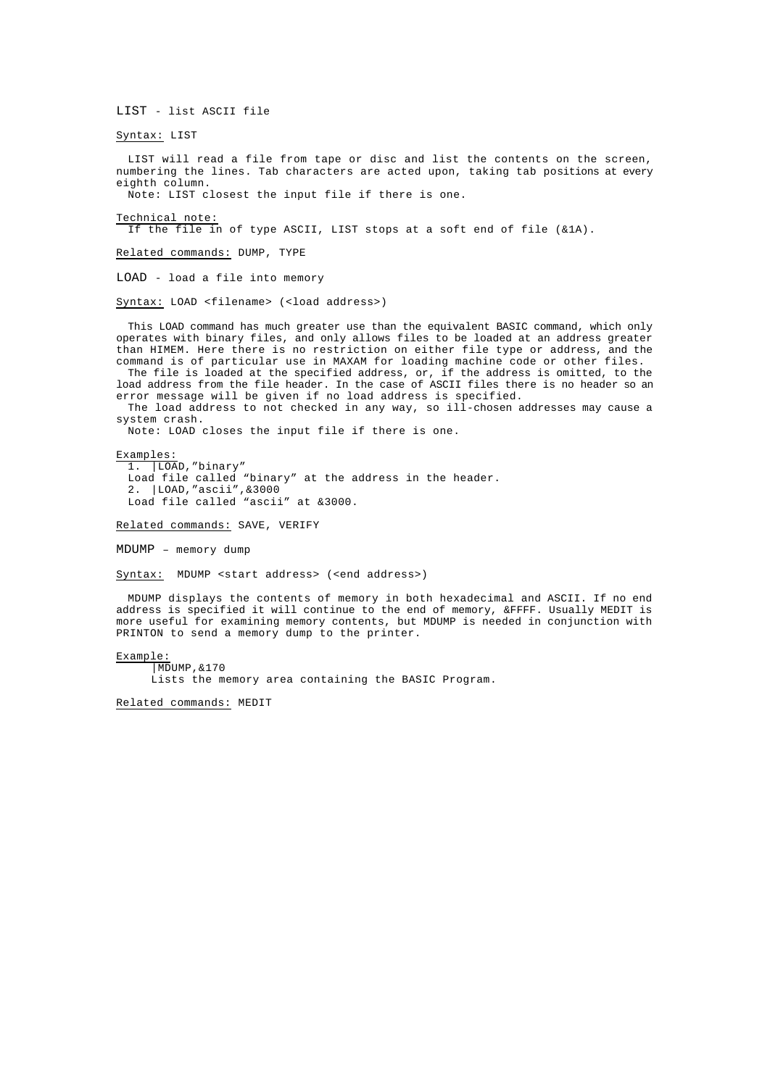LIST - list ASCII file

Syntax: LIST

LIST will read a file from tape or disc and list the contents on the screen, numbering the lines. Tab characters are acted upon, taking tab positions at every eighth column.

Note: LIST closest the input file if there is one.

Technical note:

If the file in of type ASCII, LIST stops at a soft end of file (&1A).

Related commands: DUMP, TYPE

LOAD - load a file into memory

Syntax: LOAD <filename> (<load address>)

This LOAD command has much greater use than the equivalent BASIC command, which only operates with binary files, and only allows files to be loaded at an address greater than HIMEM. Here there is no restriction on either file type or address, and the command is of particular use in MAXAM for loading machine code or other files. The file is loaded at the specified address, or, if the address is omitted, to the

load address from the file header. In the case of ASCII files there is no header so an error message will be given if no load address is specified.

The load address to not checked in any way, so ill-chosen addresses may cause a system crash.

.<br>Note: LOAD closes the input file if there is one.

Examples:

1. |LOAD,"binary" Load file called "binary" at the address in the header. 2. |LOAD,"ascii",&3000 Load file called "ascii" at &3000.

Related commands: SAVE, VERIFY

MDUMP – memory dump

Syntax: MDUMP <start address> (<end address>)

MDUMP displays the contents of memory in both hexadecimal and ASCII. If no end address is specified it will continue to the end of memory, &FFFF. Usually MEDIT is more useful for examining memory contents, but MDUMP is needed in conjunction with PRINTON to send a memory dump to the printer.

# Example:

|MDUMP,&170

Lists the memory area containing the BASIC Program.

Related commands: MEDIT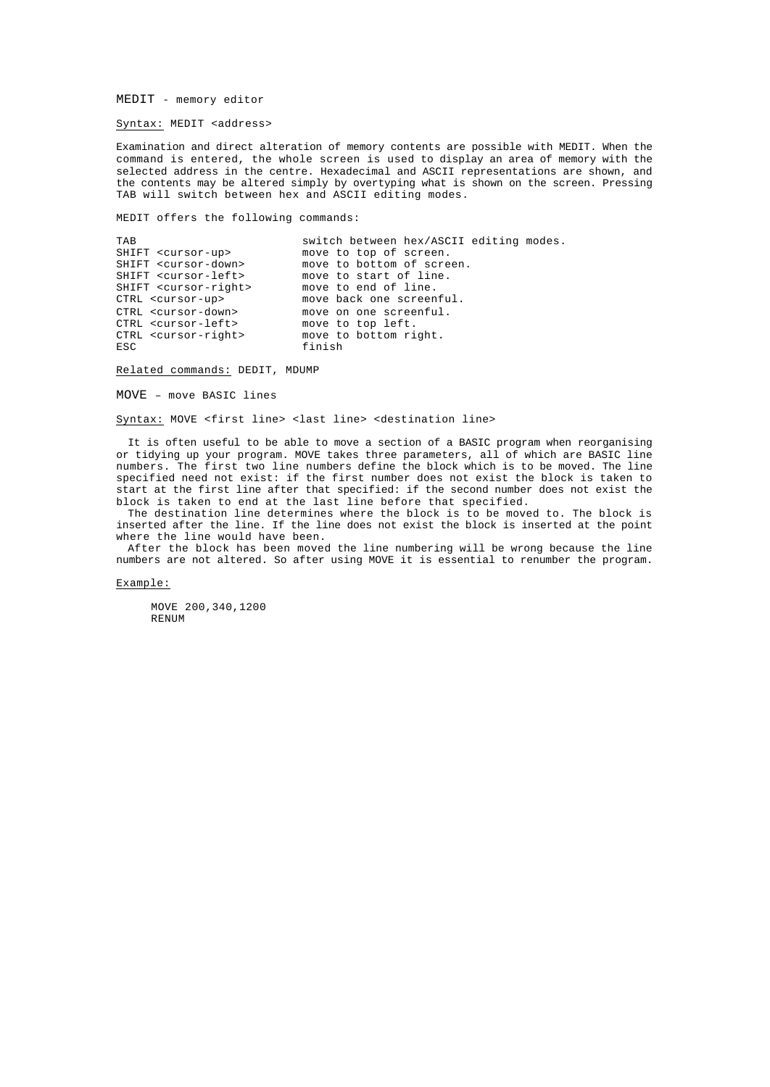MEDIT - memory editor

Syntax: MEDIT <address>

Examination and direct alteration of memory contents are possible with MEDIT. When the command is entered, the whole screen is used to display an area of memory with the selected address in the centre. Hexadecimal and ASCII representations are shown, and the contents may be altered simply by overtyping what is shown on the screen. Pressing TAB will switch between hex and ASCII editing modes.

MEDIT offers the following commands:

TAB switch between hex/ASCII editing modes.<br>SHIFT <cursor-up> move to top of screen. SHIFT <cursor-up> move to top of screen.<br>SHIFT <cursor-down> move to bottom of scre SHIFT <cursor-down> move to bottom of screen.<br>SHIFT <cursor-left> move to start of line. SHIFT <cursor-left> move to start of line.<br>SHIFT <cursor-right> move to end of line. move to end of line. CTRL <cursor-up> move back one screenful. CTRL <cursor-down> move on one screenful. CTRL <cursor-left> move to top left. CTRL <cursor-right> move to bottom right.<br>ESC finish finish

Related commands: DEDIT, MDUMP

MOVE – move BASIC lines

Syntax: MOVE <first line> <last line> <destination line>

It is often useful to be able to move a section of a BASIC program when reorganising or tidying up your program. MOVE takes three parameters, all of which are BASIC line numbers. The first two line numbers define the block which is to be moved. The line specified need not exist: if the first number does not exist the block is taken to start at the first line after that specified: if the second number does not exist the block is taken to end at the last line before that specified.

The destination line determines where the block is to be moved to. The block is inserted after the line. If the line does not exist the block is inserted at the point where the line would have been.

After the block has been moved the line numbering will be wrong because the line numbers are not altered. So after using MOVE it is essential to renumber the program.

# Example:

MOVE 200,340,1200 **RENUM**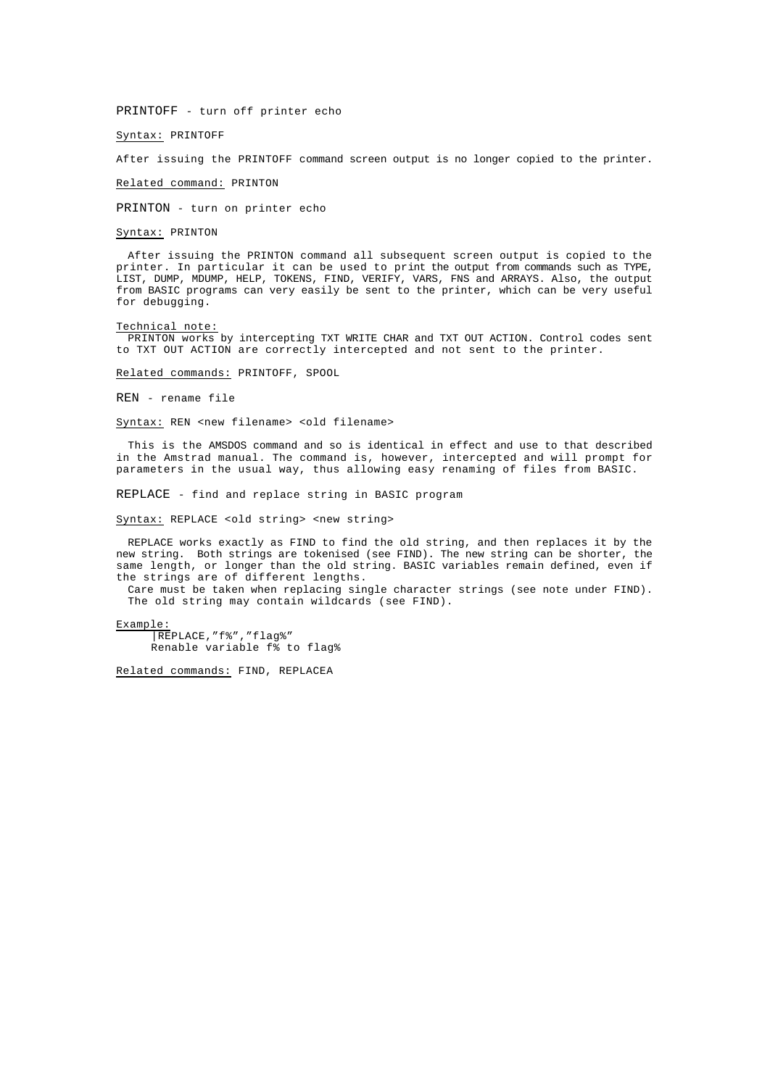PRINTOFF - turn off printer echo

Syntax: PRINTOFF

After issuing the PRINTOFF command screen output is no longer copied to the printer.

Related command: PRINTON

PRINTON - turn on printer echo

# Syntax: PRINTON

After issuing the PRINTON command all subsequent screen output is copied to the printer. In particular it can be used to print the output from commands such as TYPE, LIST, DUMP, MDUMP, HELP, TOKENS, FIND, VERIFY, VARS, FNS and ARRAYS. Also, the output from BASIC programs can very easily be sent to the printer, which can be very useful for debugging.

## Technical note:

PRINTON works by intercepting TXT WRITE CHAR and TXT OUT ACTION. Control codes sent to TXT OUT ACTION are correctly intercepted and not sent to the printer.

Related commands: PRINTOFF, SPOOL

REN - rename file

Syntax: REN <new filename> <old filename>

This is the AMSDOS command and so is identical in effect and use to that described in the Amstrad manual. The command is, however, intercepted and will prompt for parameters in the usual way, thus allowing easy renaming of files from BASIC.

REPLACE - find and replace string in BASIC program

Syntax: REPLACE <old string> <new string>

REPLACE works exactly as FIND to find the old string, and then replaces it by the new string. Both strings are tokenised (see FIND). The new string can be shorter, the same length, or longer than the old string. BASIC variables remain defined, even if the strings are of different lengths.

Care must be taken when replacing single character strings (see note under FIND). The old string may contain wildcards (see FIND).

Example: |REPLACE,"f%","flag%" Renable variable f% to flag%

Related commands: FIND, REPLACEA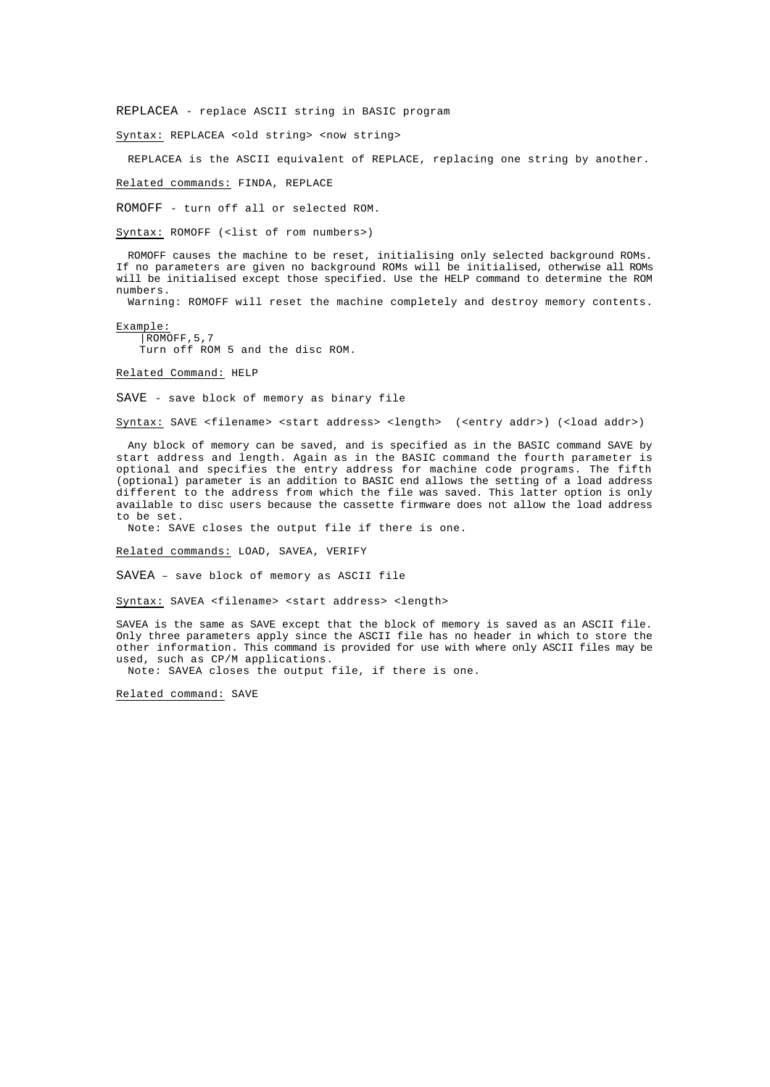REPLACEA - replace ASCII string in BASIC program

Syntax: REPLACEA <old string> <now string>

REPLACEA is the ASCII equivalent of REPLACE, replacing one string by another.

Related commands: FINDA, REPLACE

ROMOFF - turn off all or selected ROM.

Syntax: ROMOFF (<list of rom numbers>)

ROMOFF causes the machine to be reset, initialising only selected background ROMs. If no parameters are given no background ROMs will be initialised, otherwise all ROMs will be initialised except those specified. Use the HELP command to determine the ROM numbers.

Warning: ROMOFF will reset the machine completely and destroy memory contents.

Example: |ROMOFF,5,7

Turn off ROM 5 and the disc ROM.

Related Command: HELP

SAVE - save block of memory as binary file

Syntax: SAVE <filename> <start address> <length> (<entry addr>) (<load addr>)

Any block of memory can be saved, and is specified as in the BASIC command SAVE by start address and length. Again as in the BASIC command the fourth parameter is optional and specifies the entry address for machine code programs. The fifth (optional) parameter is an addition to BASIC end allows the setting of a load address different to the address from which the file was saved. This latter option is only available to disc users because the cassette firmware does not allow the load address to be set.

Note: SAVE closes the output file if there is one.

Related commands: LOAD, SAVEA, VERIFY

SAVEA – save block of memory as ASCII file

Syntax: SAVEA <filename> <start address> <length>

SAVEA is the same as SAVE except that the block of memory is saved as an ASCII file. Only three parameters apply since the ASCII file has no header in which to store the other information. This command is provided for use with where only ASCII files may be used, such as CP/M applications.

Note: SAVEA closes the output file, if there is one.

Related command: SAVE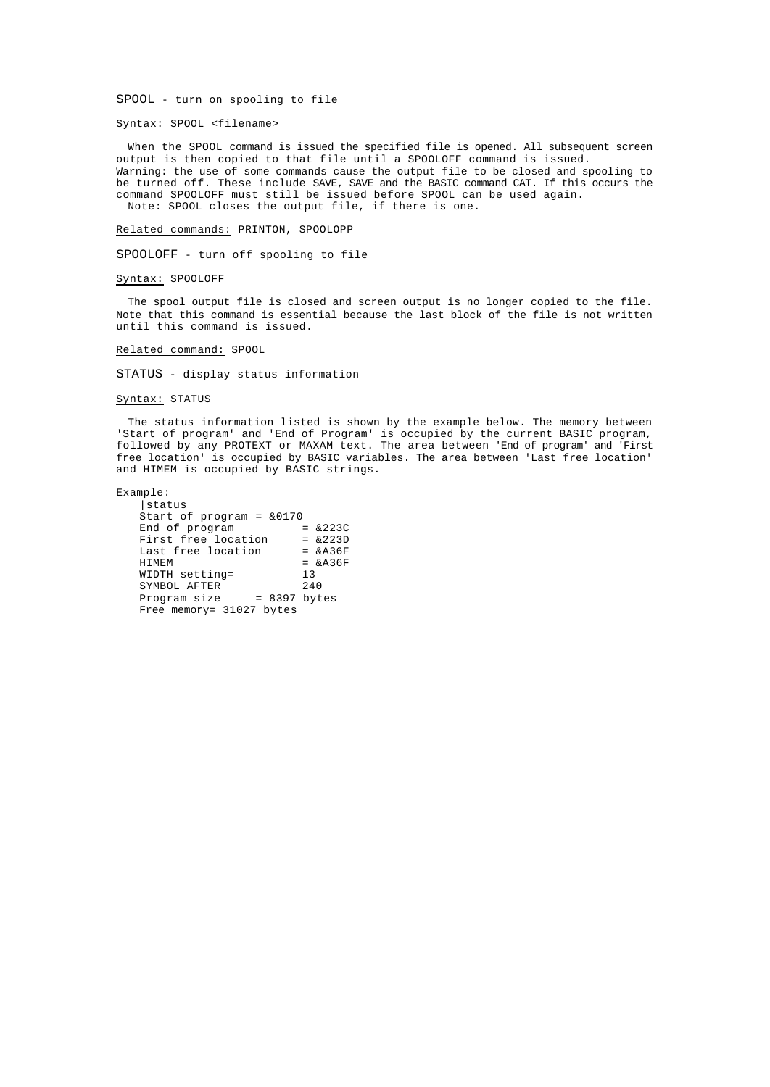SPOOL - turn on spooling to file

# Syntax: SPOOL <filename>

When the SPOOL command is issued the specified file is opened. All subsequent screen output is then copied to that file until a SPOOLOFF command is issued. Warning: the use of some commands cause the output file to be closed and spooling to be turned off. These include SAVE, SAVE and the BASIC command CAT. If this occurs the command SPOOLOFF must still be issued before SPOOL can be used again. Note: SPOOL closes the output file, if there is one.

Related commands: PRINTON, SPOOLOPP

SPOOLOFF - turn off spooling to file

# Syntax: SPOOLOFF

The spool output file is closed and screen output is no longer copied to the file. Note that this command is essential because the last block of the file is not written until this command is issued.

# Related command: SPOOL

STATUS - display status information

# Syntax: STATUS

The status information listed is shown by the example below. The memory between 'Start of program' and 'End of Program' is occupied by the current BASIC program, followed by any PROTEXT or MAXAM text. The area between 'End of program' and 'First free location' is occupied by BASIC variables. The area between 'Last free location' and HIMEM is occupied by BASIC strings.

#### Example:

|status Start of program =  $\&0170$ <br>End of program =  $\&223C$ End of program First free location = &223D<br>Last free location = &A36F Last free location<br>HIMEM  $=$  &A36F WIDTH setting= 13<br>SYMBOL AFTER 240 SYMBOL AFTER<br>Program size  $= 8397$  bytes Free memory= 31027 bytes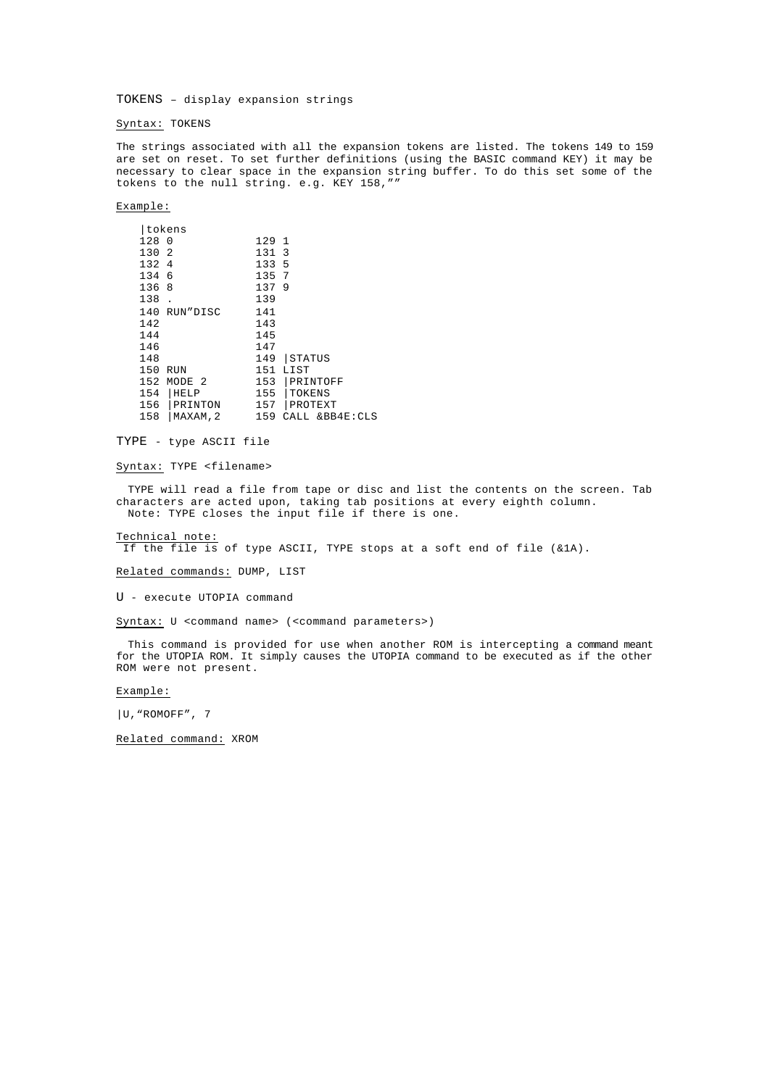TOKENS – display expansion strings

Syntax: TOKENS

The strings associated with all the expansion tokens are listed. The tokens 149 to 159 are set on reset. To set further definitions (using the BASIC command KEY) it may be necessary to clear space in the expansion string buffer. To do this set some of the tokens to the null string. e.g. KEY 158,""

# Example:

| tokens |                   |       |                |
|--------|-------------------|-------|----------------|
| 128    | 0                 | 129 1 |                |
| 130    | 2                 | 131   | -3             |
| 132    | 4                 | 133   | 5              |
| 134    | 6                 | 135   | 7              |
| 136    | 8                 | 137   | 9              |
| 138    |                   | 139   |                |
| 140    | RUN"DISC          | 141   |                |
| 142    |                   | 143   |                |
| 144    |                   | 145   |                |
| 146    |                   | 147   |                |
| 148    |                   | 149   | STATUS         |
| 150    | <b>RUN</b>        | 151   | LIST           |
| 152    | MODE <sub>2</sub> | 153   | PRINTOFF       |
| 154    | <b>HELP</b>       | 155   | TOKENS         |
| 156    | PRINTON           | 157   | PROTEXT        |
| 158    | MAXAM, 2          | 159   | CALL &BB4E:CLS |

TYPE - type ASCII file

Syntax: TYPE <filename>

TYPE will read a file from tape or disc and list the contents on the screen. Tab characters are acted upon, taking tab positions at every eighth column. Note: TYPE closes the input file if there is one.

# Technical note:

If the file is of type ASCII, TYPE stops at a soft end of file (&1A).

Related commands: DUMP, LIST

U - execute UTOPIA command

Syntax: U <command name> (<command parameters>)

This command is provided for use when another ROM is intercepting a command meant for the UTOPIA ROM. It simply causes the UTOPIA command to be executed as if the other ROM were not present.

# Example:

|U,"ROMOFF", 7

Related command: XROM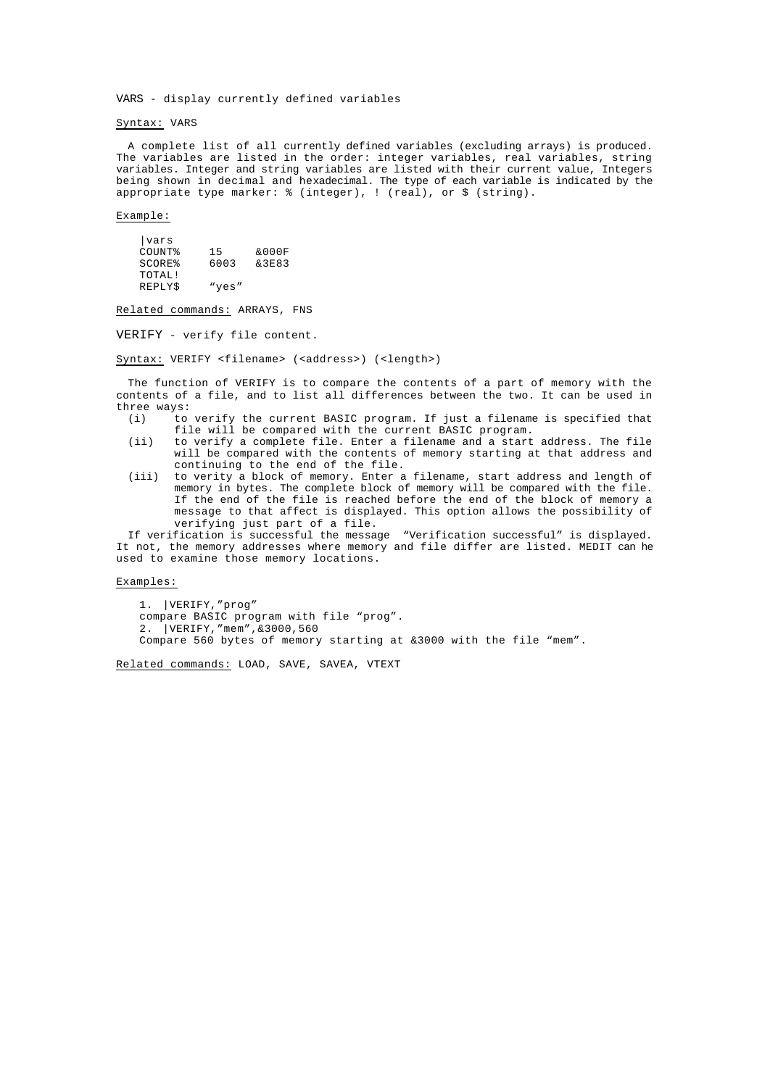VARS - display currently defined variables

# Syntax: VARS

A complete list of all currently defined variables (excluding arrays) is produced. The variables are listed in the order: integer variables, real variables, string variables. Integer and string variables are listed with their current value, Integers being shown in decimal and hexadecimal. The type of each variable is indicated by the appropriate type marker: % (integer), ! (real), or \$ (string).

# Example:

| <i>vars</i>        |       |       |
|--------------------|-------|-------|
| COUNT?             | 15    | &000F |
| SCORE <sup>8</sup> | 6003  | &3E83 |
| TOTAL!             |       |       |
| <b>REPLYS</b>      | "yes" |       |

Related commands: ARRAYS, FNS

VERIFY - verify file content.

Syntax: VERIFY <filename> (<address>) (<length>)

The function of VERIFY is to compare the contents of a part of memory with the contents of a file, and to list all differences between the two. It can be used in three ways:

- (i) to verify the current BASIC program. If just a filename is specified that file will be compared with the current BASIC program.
- (ii) to verify a complete file. Enter a filename and a start address. The file will be compared with the contents of memory starting at that address and continuing to the end of the file.
- (iii) to verity a block of memory. Enter a filename, start address and length of memory in bytes. The complete block of memory will be compared with the file. If the end of the file is reached before the end of the block of memory a message to that affect is displayed. This option allows the possibility of verifying just part of a file.

If verification is successful the message "Verification successful" is displayed. It not, the memory addresses where memory and file differ are listed. MEDIT can he used to examine those memory locations.

# Examples:

1. |VERIFY,"prog" compare BASIC program with file "prog". 2. |VERIFY,"mem",&3000,560 Compare 560 bytes of memory starting at &3000 with the file "mem".

Related commands: LOAD, SAVE, SAVEA, VTEXT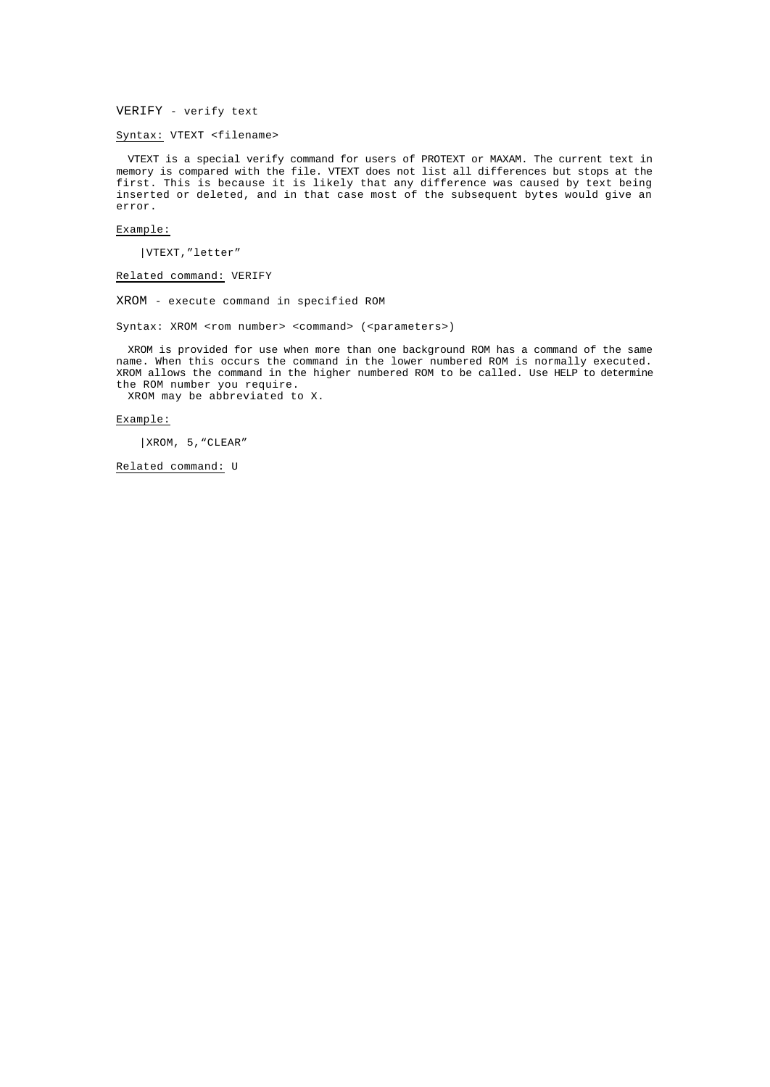VERIFY - verify text

Syntax: VTEXT <filename>

VTEXT is a special verify command for users of PROTEXT or MAXAM. The current text in memory is compared with the file. VTEXT does not list all differences but stops at the first. This is because it is likely that any difference was caused by text being inserted or deleted, and in that case most of the subsequent bytes would give an error.

# Example:

|VTEXT,"letter"

Related command: VERIFY

XROM - execute command in specified ROM

Syntax: XROM <rom number> <command> (<parameters>)

XROM is provided for use when more than one background ROM has a command of the same name. When this occurs the command in the lower numbered ROM is normally executed. XROM allows the command in the higher numbered ROM to be called. Use HELP to determine the ROM number you require.

XROM may be abbreviated to X.

# Example:

|XROM, 5,"CLEAR"

Related command: U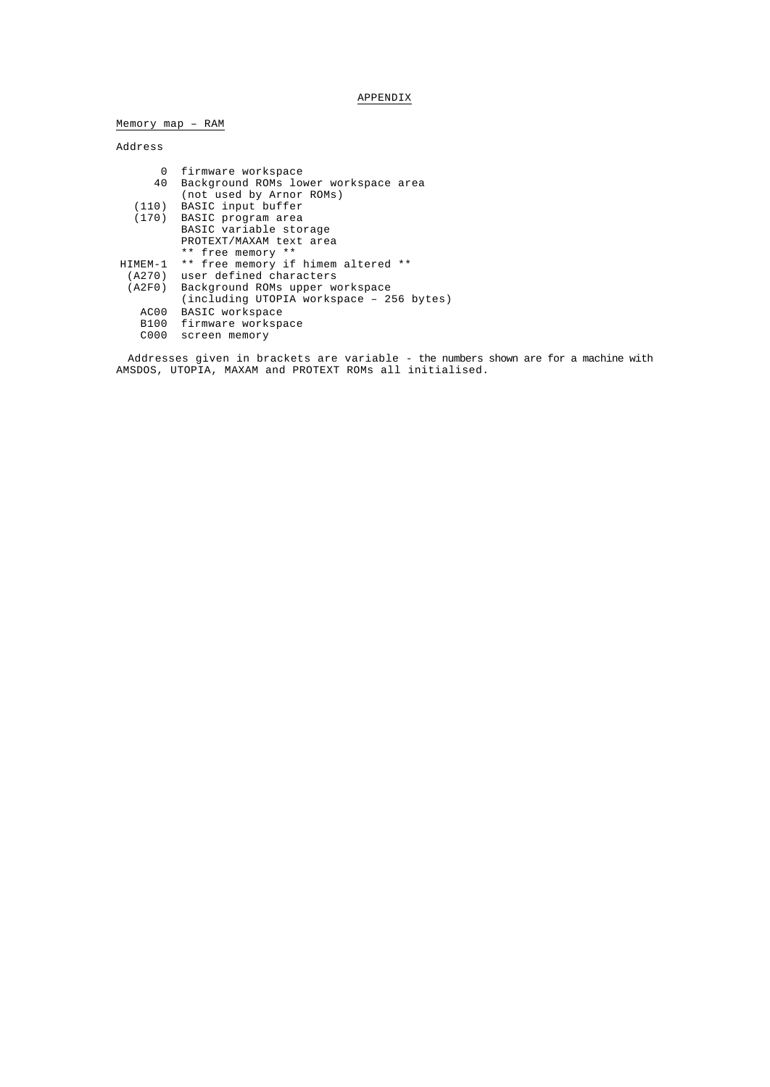# APPENDIX

Memory map – RAM

# Address

| 0       | firmware workspace                       |
|---------|------------------------------------------|
| 40      | Background ROMs lower workspace area     |
|         | (not used by Arnor ROMs)                 |
|         | (110) BASIC input buffer                 |
|         | (170) BASIC program area                 |
|         | BASIC variable storage                   |
|         | PROTEXT/MAXAM text area                  |
|         | ** free memory **                        |
| HIMEM-1 | ** free memory if himem altered **       |
|         | (A270) user defined characters           |
|         | (A2F0) Background ROMs upper workspace   |
|         | (including UTOPIA workspace - 256 bytes) |
| AC00    | BASIC workspace                          |
|         | B100 firmware workspace                  |
| C000    | screen memory                            |
|         |                                          |

Addresses given in brackets are variable - the numbers shown are for a machine with AMSDOS, UTOPIA, MAXAM and PROTEXT ROMs all initialised.